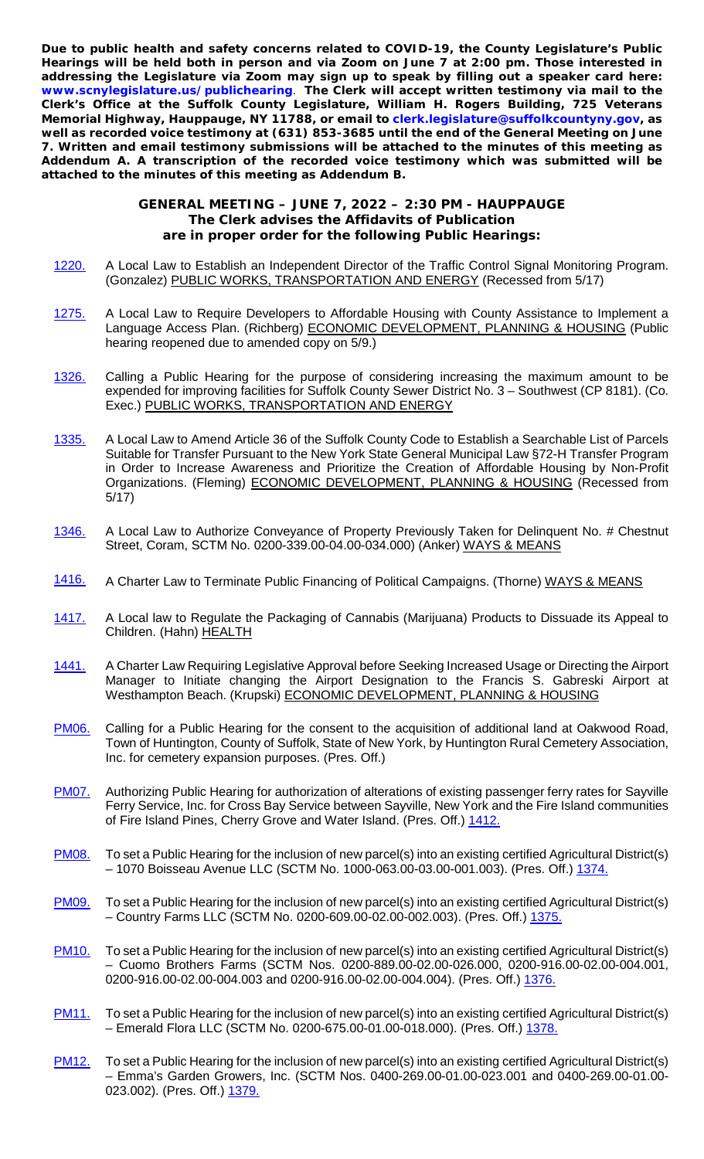**Due to public health and safety concerns related to COVID-19, the County Legislature's Public Hearings will be held both in person and via Zoom on June 7 at 2:00 pm. Those interested in addressing the Legislature via Zoom may sign up to speak by filling out a speaker card here: [www.scnylegislature.us/publichearing](http://www.scnylegislature.us/publichearing)**. **The Clerk will accept written testimony via mail to the Clerk's Office at the Suffolk County Legislature, William H. Rogers Building, 725 Veterans Memorial Highway, Hauppauge, NY 11788, or email to [clerk.legislature@suffolkcountyny.gov,](mailto:clerk.legislature@suffolkcountyny.gov) as well as recorded voice testimony at (631) 853-3685 until the end of the General Meeting on June 7. Written and email testimony submissions will be attached to the minutes of this meeting as Addendum A. A transcription of the recorded voice testimony which was submitted will be attached to the minutes of this meeting as Addendum B.**

## **GENERAL MEETING – JUNE 7, 2022 – 2:30 PM - HAUPPAUGE The Clerk advises the Affidavits of Publication are in proper order for the following Public Hearings:**

- [1220.](https://www.scnylegislature.us/DocumentCenter/View/83050/Introductory-Resolution-1220-22-PDF) A Local Law to Establish an Independent Director of the Traffic Control Signal Monitoring Program. (Gonzalez) PUBLIC WORKS, TRANSPORTATION AND ENERGY (Recessed from 5/17)
- [1275.](https://www.scnylegislature.us/DocumentCenter/View/83562/Introductory-Resolution-1275-22-PDF) A Local Law to Require Developers to Affordable Housing with County Assistance to Implement a Language Access Plan. (Richberg) ECONOMIC DEVELOPMENT, PLANNING & HOUSING (Public hearing reopened due to amended copy on 5/9.)
- [1326.](https://www.scnylegislature.us/DocumentCenter/View/83774/Introductory-Resolution-1326-22-PDF) Calling a Public Hearing for the purpose of considering increasing the maximum amount to be expended for improving facilities for Suffolk County Sewer District No. 3 – Southwest (CP 8181). (Co. Exec.) PUBLIC WORKS, TRANSPORTATION AND ENERGY
- [1335.](https://www.scnylegislature.us/DocumentCenter/View/83778/Introductory-Resolution-1335-22-PDF) A Local Law to Amend Article 36 of the Suffolk County Code to Establish a Searchable List of Parcels Suitable for Transfer Pursuant to the New York State General Municipal Law §72-H Transfer Program in Order to Increase Awareness and Prioritize the Creation of Affordable Housing by Non-Profit Organizations. (Fleming) ECONOMIC DEVELOPMENT, PLANNING & HOUSING (Recessed from 5/17)
- [1346.](https://www.scnylegislature.us/DocumentCenter/View/84336/Introductory-Resolution-1346-22-PDF) A Local Law to Authorize Conveyance of Property Previously Taken for Delinquent No. # Chestnut Street, Coram, SCTM No. 0200-339.00-04.00-034.000) (Anker) WAYS & MEANS
- [1416.](https://www.scnylegislature.us/DocumentCenter/View/84450/Introductory-Resolution-1416-22-PDF) A Charter Law to Terminate Public Financing of Political Campaigns. (Thorne) WAYS & MEANS
- [1417.](https://www.scnylegislature.us/DocumentCenter/View/84451/Introductory-Resolution-1417-22-PDF) A Local law to Regulate the Packaging of Cannabis (Marijuana) Products to Dissuade its Appeal to Children. (Hahn) HEALTH
- [1441.](https://www.scnylegislature.us/DocumentCenter/View/84670/Introductory-Resolution-1441-22-PDF) A Charter Law Requiring Legislative Approval before Seeking Increased Usage or Directing the Airport Manager to Initiate changing the Airport Designation to the Francis S. Gabreski Airport at Westhampton Beach. (Krupski) ECONOMIC DEVELOPMENT, PLANNING & HOUSING
- **[PM06.](https://www.scnylegislature.us/DocumentCenter/View/83926/Procedural-Motion-06-2022-PDF)** Calling for a Public Hearing for the consent to the acquisition of additional land at Oakwood Road, Town of Huntington, County of Suffolk, State of New York, by Huntington Rural Cemetery Association, Inc. for cemetery expansion purposes. (Pres. Off.)
- **[PM07.](https://www.scnylegislature.us/DocumentCenter/View/84430/Procedural-Motion-07-2022-PDF)** Authorizing Public Hearing for authorization of alterations of existing passenger ferry rates for Sayville Ferry Service, Inc. for Cross Bay Service between Sayville, New York and the Fire Island communities of Fire Island Pines, Cherry Grove and Water Island. (Pres. Off.) [1412.](https://www.scnylegislature.us/DocumentCenter/View/84446/Introductory-Resolution-1412-22-PDF)
- [PM08.](https://www.scnylegislature.us/DocumentCenter/View/84578/Procedural-Motion-08-2022-PDF) To set a Public Hearing for the inclusion of new parcel(s) into an existing certified Agricultural District(s) – 1070 Boisseau Avenue LLC (SCTM No. 1000-063.00-03.00-001.003). (Pres. Off.) [1374.](https://www.scnylegislature.us/DocumentCenter/View/84399/Introductory-Resolution-1374-22-PDF)
- [PM09.](https://www.scnylegislature.us/DocumentCenter/View/84579/Procedural-Motion-09-2022-PDF) To set a Public Hearing for the inclusion of new parcel(s) into an existing certified Agricultural District(s) – Country Farms LLC (SCTM No. 0200-609.00-02.00-002.003). (Pres. Off.) [1375.](https://www.scnylegislature.us/DocumentCenter/View/84400/Introductory-Resolution-1375-22-PDF)
- [PM10.](https://www.scnylegislature.us/DocumentCenter/View/84580/Procedural-Motion-10-2022-PDF) To set a Public Hearing for the inclusion of new parcel(s) into an existing certified Agricultural District(s) – Cuomo Brothers Farms (SCTM Nos. 0200-889.00-02.00-026.000, 0200-916.00-02.00-004.001, 0200-916.00-02.00-004.003 and 0200-916.00-02.00-004.004). (Pres. Off.) [1376.](https://www.scnylegislature.us/DocumentCenter/View/84401/Introductory-Resolution-1376-22-PDF)
- [PM11.](https://www.scnylegislature.us/DocumentCenter/View/84567/Procedural-Motion-11-2022-PDF) To set a Public Hearing for the inclusion of new parcel(s) into an existing certified Agricultural District(s) – Emerald Flora LLC (SCTM No. 0200-675.00-01.00-018.000). (Pres. Off.) [1378.](https://www.scnylegislature.us/DocumentCenter/View/84402/Introductory-Resolution-1378-22-PDF)
- [PM12.](https://www.scnylegislature.us/DocumentCenter/View/84568/Procedural-Motion-12-2022-PDF) To set a Public Hearing for the inclusion of new parcel(s) into an existing certified Agricultural District(s) – Emma's Garden Growers, Inc. (SCTM Nos. 0400-269.00-01.00-023.001 and 0400-269.00-01.00- 023.002). (Pres. Off.) [1379.](https://www.scnylegislature.us/DocumentCenter/View/84403/Introductory-Resolution-1379-22-PDF)